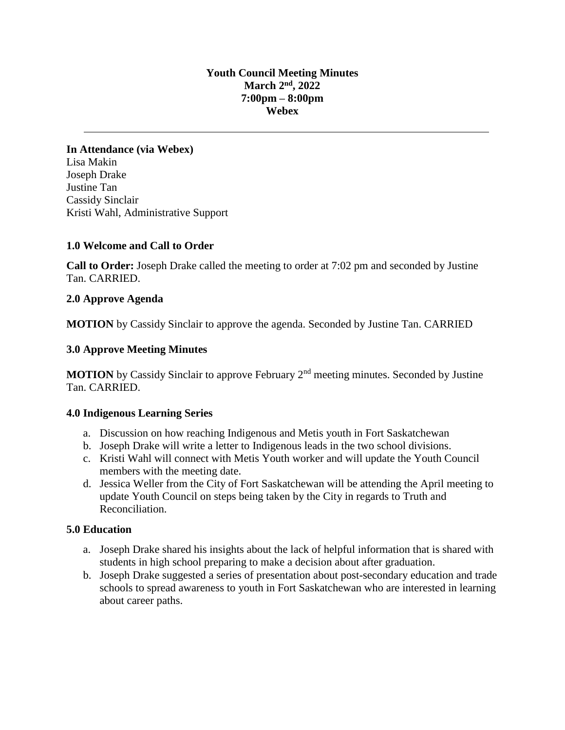## **Youth Council Meeting Minutes March 2 nd , 2022 7:00pm – 8:00pm Webex**

**In Attendance (via Webex)**  Lisa Makin Joseph Drake Justine Tan Cassidy Sinclair Kristi Wahl, Administrative Support

## **1.0 Welcome and Call to Order**

**Call to Order:** Joseph Drake called the meeting to order at 7:02 pm and seconded by Justine Tan. CARRIED.

## **2.0 Approve Agenda**

**MOTION** by Cassidy Sinclair to approve the agenda. Seconded by Justine Tan. CARRIED

# **3.0 Approve Meeting Minutes**

**MOTION** by Cassidy Sinclair to approve February 2<sup>nd</sup> meeting minutes. Seconded by Justine Tan. CARRIED.

#### **4.0 Indigenous Learning Series**

- a. Discussion on how reaching Indigenous and Metis youth in Fort Saskatchewan
- b. Joseph Drake will write a letter to Indigenous leads in the two school divisions.
- c. Kristi Wahl will connect with Metis Youth worker and will update the Youth Council members with the meeting date.
- d. Jessica Weller from the City of Fort Saskatchewan will be attending the April meeting to update Youth Council on steps being taken by the City in regards to Truth and Reconciliation.

## **5.0 Education**

- a. Joseph Drake shared his insights about the lack of helpful information that is shared with students in high school preparing to make a decision about after graduation.
- b. Joseph Drake suggested a series of presentation about post-secondary education and trade schools to spread awareness to youth in Fort Saskatchewan who are interested in learning about career paths.